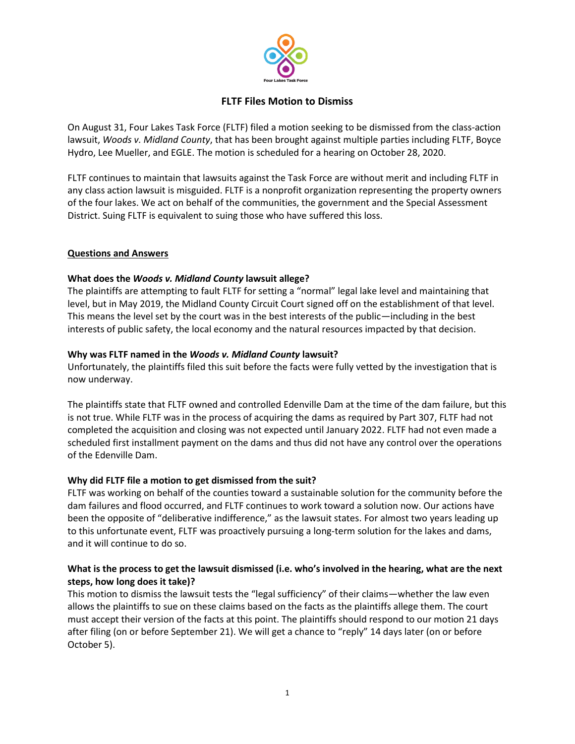

# **FLTF Files Motion to Dismiss**

On August 31, Four Lakes Task Force (FLTF) filed a motion seeking to be dismissed from the class-action lawsuit, *Woods v. Midland County*, that has been brought against multiple parties including FLTF, Boyce Hydro, Lee Mueller, and EGLE. The motion is scheduled for a hearing on October 28, 2020.

FLTF continues to maintain that lawsuits against the Task Force are without merit and including FLTF in any class action lawsuit is misguided. FLTF is a nonprofit organization representing the property owners of the four lakes. We act on behalf of the communities, the government and the Special Assessment District. Suing FLTF is equivalent to suing those who have suffered this loss.

### **Questions and Answers**

### **What does the** *Woods v. Midland County* **lawsuit allege?**

The plaintiffs are attempting to fault FLTF for setting a "normal" legal lake level and maintaining that level, but in May 2019, the Midland County Circuit Court signed off on the establishment of that level. This means the level set by the court was in the best interests of the public—including in the best interests of public safety, the local economy and the natural resources impacted by that decision.

### **Why was FLTF named in the** *Woods v. Midland County* **lawsuit?**

Unfortunately, the plaintiffs filed this suit before the facts were fully vetted by the investigation that is now underway.

The plaintiffs state that FLTF owned and controlled Edenville Dam at the time of the dam failure, but this is not true. While FLTF was in the process of acquiring the dams as required by Part 307, FLTF had not completed the acquisition and closing was not expected until January 2022. FLTF had not even made a scheduled first installment payment on the dams and thus did not have any control over the operations of the Edenville Dam.

## **Why did FLTF file a motion to get dismissed from the suit?**

FLTF was working on behalf of the counties toward a sustainable solution for the community before the dam failures and flood occurred, and FLTF continues to work toward a solution now. Our actions have been the opposite of "deliberative indifference," as the lawsuit states. For almost two years leading up to this unfortunate event, FLTF was proactively pursuing a long-term solution for the lakes and dams, and it will continue to do so.

### **What is the process to get the lawsuit dismissed (i.e. who's involved in the hearing, what are the next steps, how long does it take)?**

This motion to dismiss the lawsuit tests the "legal sufficiency" of their claims—whether the law even allows the plaintiffs to sue on these claims based on the facts as the plaintiffs allege them. The court must accept their version of the facts at this point. The plaintiffs should respond to our motion 21 days after filing (on or before September 21). We will get a chance to "reply" 14 days later (on or before October 5).